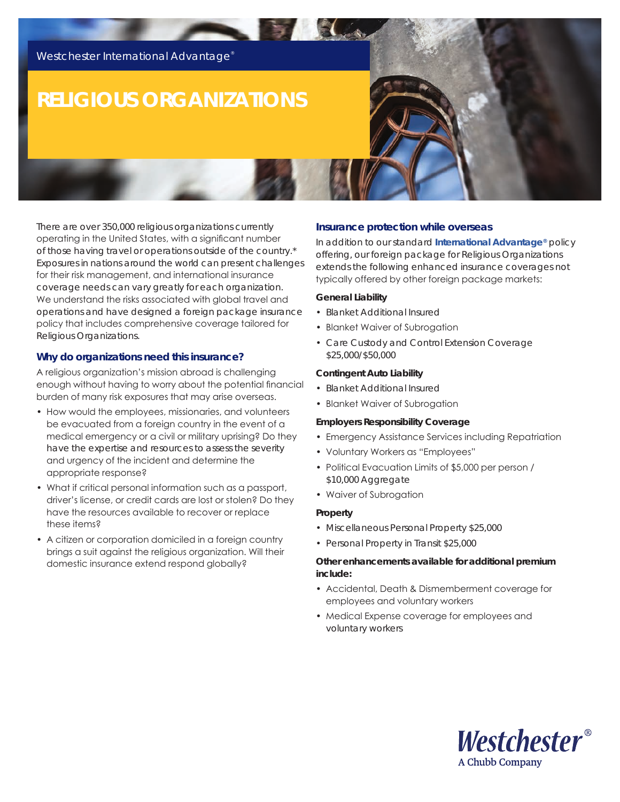

# **RELIGIOUS ORGANIZATIONS**

There are over 350,000 religious organizations currently operating in the United States, with a significant number of those having travel or operations outside of the country.\* Exposures in nations around the world can present challenges for their risk management, and international insurance coverage needs can vary greatly for each organization. We understand the risks associated with global travel and operations and have designed a foreign package insurance policy that includes comprehensive coverage tailored for Religious Organizations.

# **Why do organizations need this insurance?**

A religious organization's mission abroad is challenging enough without having to worry about the potential financial burden of many risk exposures that may arise overseas.

- How would the employees, missionaries, and volunteers be evacuated from a foreign country in the event of a medical emergency or a civil or military uprising? Do they have the expertise and resources to assess the severity and urgency of the incident and determine the appropriate response?
- What if critical personal information such as a passport, driver's license, or credit cards are lost or stolen? Do they have the resources available to recover or replace these items?
- A citizen or corporation domiciled in a foreign country brings a suit against the religious organization. Will their domestic insurance extend respond globally?

# **Insurance protection while overseas**

In addition to our standard **[International Advantage®](http://www.westchester.com/en/_assets/marketing-sheets/international-advantage/ia_policypackage.pdf?tracked=true)** policy offering, our foreign package for Religious Organizations extends the following enhanced insurance coverages not typically offered by other foreign package markets:

#### **General Liability**

- Blanket Additional Insured
- Blanket Waiver of Subrogation
- Care Custody and Control Extension Coverage \$25,000/\$50,000

## **Contingent Auto Liability**

- Blanket Additional Insured
- Blanket Waiver of Subrogation

#### **Employers Responsibility Coverage**

- Emergency Assistance Services including Repatriation
- Voluntary Workers as "Employees"
- Political Evacuation Limits of \$5,000 per person / \$10,000 Aggregate
- Waiver of Subrogation

### **Property**

- Miscellaneous Personal Property \$25,000
- Personal Property in Transit \$25,000

## **Other enhancements available for additional premium include:**

- Accidental, Death & Dismemberment coverage for employees and voluntary workers
- Medical Expense coverage for employees and voluntary workers